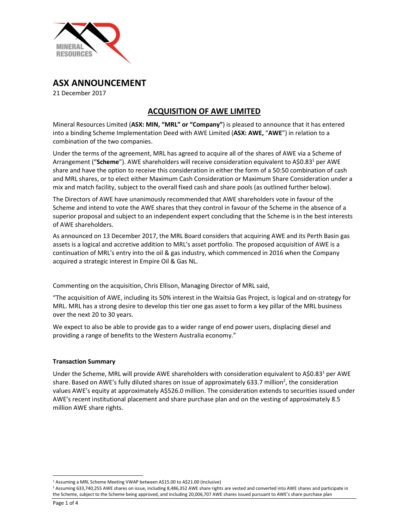

ASX ANNOUNCEMENT

21 December 2017

# ACQUISITION OF AWE LIMITED

Mineral Resources Limited (ASX: MIN, "MRL" or "Company") is pleased to announce that it has entered into a binding Scheme Implementation Deed with AWE Limited (ASX: AWE, "AWE") in relation to a combination of the two companies.

Under the terms of the agreement, MRL has agreed to acquire all of the shares of AWE via a Scheme of Arrangement ("Scheme"). AWE shareholders will receive consideration equivalent to A\$0.83<sup>1</sup> per AWE share and have the option to receive this consideration in either the form of a 50:50 combination of cash and MRL shares, or to elect either Maximum Cash Consideration or Maximum Share Consideration under a mix and match facility, subject to the overall fixed cash and share pools (as outlined further below).

The Directors of AWE have unanimously recommended that AWE shareholders vote in favour of the Scheme and intend to vote the AWE shares that they control in favour of the Scheme in the absence of a superior proposal and subject to an independent expert concluding that the Scheme is in the best interests of AWE shareholders.

As announced on 13 December 2017, the MRL Board considers that acquiring AWE and its Perth Basin gas assets is a logical and accretive addition to MRL's asset portfolio. The proposed acquisition of AWE is a continuation of MRL's entry into the oil & gas industry, which commenced in 2016 when the Company acquired a strategic interest in Empire Oil & Gas NL.

Commenting on the acquisition, Chris Ellison, Managing Director of MRL said,

"The acquisition of AWE, including its 50% interest in the Waitsia Gas Project, is logical and on-strategy for MRL. MRL has a strong desire to develop this tier one gas asset to form a key pillar of the MRL business over the next 20 to 30 years.

We expect to also be able to provide gas to a wider range of end power users, displacing diesel and providing a range of benefits to the Western Australia economy."

## Transaction Summary

Under the Scheme, MRL will provide AWE shareholders with consideration equivalent to A\$0.83<sup>1</sup> per AWE share. Based on AWE's fully diluted shares on issue of approximately 633.7 million<sup>2</sup>, the consideration values AWE's equity at approximately A\$526.0 million. The consideration extends to securities issued under AWE's recent institutional placement and share purchase plan and on the vesting of approximately 8.5 million AWE share rights.

 <sup>1</sup>  $^1$  Assuming a MRL Scheme Meeting VWAP between A\$15.00 to A\$21.00 (inclusive)<br>2 Assuming 633,740,255,AWE shares on issue, including 8,486,352,AWE share right:

<sup>&</sup>lt;sup>2</sup> Assuming 633,740,255 AWE shares on issue, including 8,486,352 AWE share rights are vested and converted into AWE shares and participate in the Scheme, subject to the Scheme being approved, and including 20,006,707 AWE shares issued pursuant to AWE's share purchase plan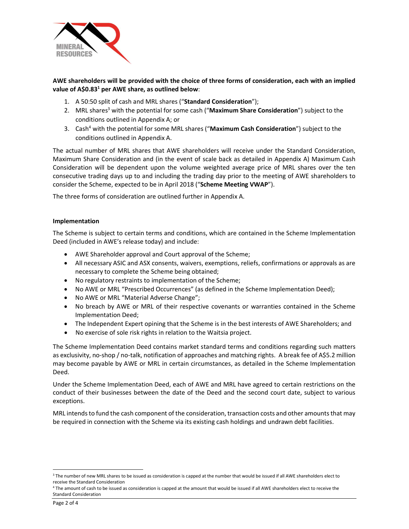

AWE shareholders will be provided with the choice of three forms of consideration, each with an implied value of A\$0.83<sup>1</sup> per AWE share, as outlined below:

- 1. A 50:50 split of cash and MRL shares ("Standard Consideration");
- 2. MRL shares<sup>3</sup> with the potential for some cash ("**Maximum Share Consideration**") subject to the conditions outlined in Appendix A; or
- 3. Cash<sup>4</sup> with the potential for some MRL shares ("**Maximum Cash Consideration**") subject to the conditions outlined in Appendix A.

The actual number of MRL shares that AWE shareholders will receive under the Standard Consideration, Maximum Share Consideration and (in the event of scale back as detailed in Appendix A) Maximum Cash Consideration will be dependent upon the volume weighted average price of MRL shares over the ten consecutive trading days up to and including the trading day prior to the meeting of AWE shareholders to consider the Scheme, expected to be in April 2018 ("Scheme Meeting VWAP").

The three forms of consideration are outlined further in Appendix A.

### Implementation

The Scheme is subject to certain terms and conditions, which are contained in the Scheme Implementation Deed (included in AWE's release today) and include:

- AWE Shareholder approval and Court approval of the Scheme;
- All necessary ASIC and ASX consents, waivers, exemptions, reliefs, confirmations or approvals as are necessary to complete the Scheme being obtained;
- No regulatory restraints to implementation of the Scheme;
- No AWE or MRL "Prescribed Occurrences" (as defined in the Scheme Implementation Deed);
- No AWE or MRL "Material Adverse Change";
- No breach by AWE or MRL of their respective covenants or warranties contained in the Scheme Implementation Deed;
- The Independent Expert opining that the Scheme is in the best interests of AWE Shareholders; and
- No exercise of sole risk rights in relation to the Waitsia project.

The Scheme Implementation Deed contains market standard terms and conditions regarding such matters as exclusivity, no-shop / no-talk, notification of approaches and matching rights. A break fee of A\$5.2 million may become payable by AWE or MRL in certain circumstances, as detailed in the Scheme Implementation Deed.

Under the Scheme Implementation Deed, each of AWE and MRL have agreed to certain restrictions on the conduct of their businesses between the date of the Deed and the second court date, subject to various exceptions.

MRL intends to fund the cash component of the consideration, transaction costs and other amounts that may be required in connection with the Scheme via its existing cash holdings and undrawn debt facilities.

<sup>&</sup>lt;sup>3</sup> The number of new MRL shares to be issued as consideration is capped at the number that would be issued if all AWE shareholders elect to receive the Standard Consideration<br><sup>4</sup> The amount of cash to be issued as consideration is capped at the amount that would be issued if all AWE shareholders elect to receive the

Standard Consideration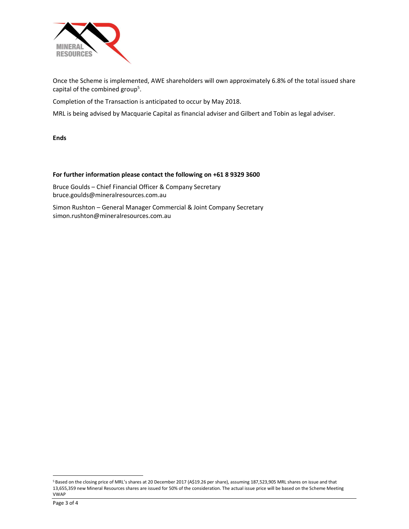

Once the Scheme is implemented, AWE shareholders will own approximately 6.8% of the total issued share capital of the combined group<sup>5</sup>.

. Completion of the Transaction is anticipated to occur by May 2018.

MRL is being advised by Macquarie Capital as financial adviser and Gilbert and Tobin as legal adviser.

Ends

### For further information please contact the following on +61 8 9329 3600

Bruce Goulds – Chief Financial Officer & Company Secretary bruce.goulds@mineralresources.com.au

Simon Rushton – General Manager Commercial & Joint Company Secretary simon.rushton@mineralresources.com.au

 <sup>5</sup> Based on the closing price of MRL's shares at 20 December 2017 (A\$19.26 per share), assuming 187,523,905 MRL shares on issue and that 13,655,359 new Mineral Resources shares are issued for 50% of the consideration. The actual issue price will be based on the Scheme Meeting VWAP